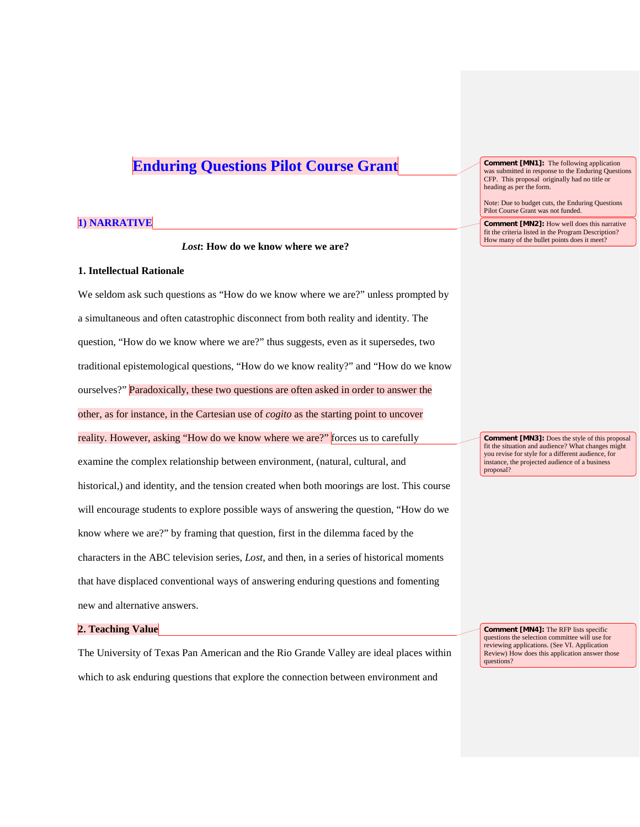# **Enduring Questions Pilot Course Grant**

## **1) NARRATIVE**

*Lost***: How do we know where we are?**

## **1. Intellectual Rationale**

We seldom ask such questions as "How do we know where we are?" unless prompted by a simultaneous and often catastrophic disconnect from both reality and identity. The question, "How do we know where we are?" thus suggests, even as it supersedes, two traditional epistemological questions, "How do we know reality?" and "How do we know ourselves?" Paradoxically, these two questions are often asked in order to answer the other, as for instance, in the Cartesian use of *cogito* as the starting point to uncover reality. However, asking "How do we know where we are?" forces us to carefully examine the complex relationship between environment, (natural, cultural, and historical,) and identity, and the tension created when both moorings are lost. This course will encourage students to explore possible ways of answering the question, "How do we know where we are?" by framing that question, first in the dilemma faced by the characters in the ABC television series, *Lost*, and then, in a series of historical moments that have displaced conventional ways of answering enduring questions and fomenting new and alternative answers.

## **2. Teaching Value**

The University of Texas Pan American and the Rio Grande Valley are ideal places within which to ask enduring questions that explore the connection between environment and

**Comment [MN1]:** The following application was submitted in response to the Enduring Questions CFP. This proposal originally had no title or heading as per the form.

Note: Due to budget cuts, the Enduring Questions Pilot Course Grant was not funded.

**Comment [MN2]:** How well does this narrative fit the criteria listed in the Program Description? How many of the bullet points does it meet?

**Comment [MN3]:** Does the style of this proposal fit the situation and audience? What changes might you revise for style for a different audience, for instance, the projected audience of a business proposal?

**Comment [MN4]:** The RFP lists specific questions the selection committee will use for reviewing applications. (See VI. Application Review) How does this application answer those questions?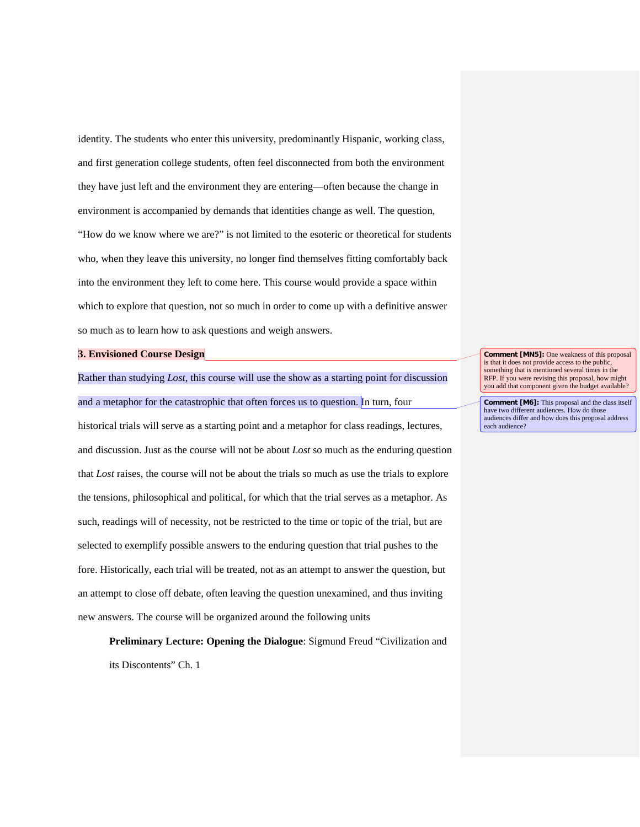identity. The students who enter this university, predominantly Hispanic, working class, and first generation college students, often feel disconnected from both the environment they have just left and the environment they are entering—often because the change in environment is accompanied by demands that identities change as well. The question, "How do we know where we are?" is not limited to the esoteric or theoretical for students who, when they leave this university, no longer find themselves fitting comfortably back into the environment they left to come here. This course would provide a space within which to explore that question, not so much in order to come up with a definitive answer so much as to learn how to ask questions and weigh answers.

#### **3. Envisioned Course Design**

Rather than studying *Lost*, this course will use the show as a starting point for discussion and a metaphor for the catastrophic that often forces us to question. In turn, four historical trials will serve as a starting point and a metaphor for class readings, lectures, and discussion. Just as the course will not be about *Lost* so much as the enduring question that *Lost* raises, the course will not be about the trials so much as use the trials to explore the tensions, philosophical and political, for which that the trial serves as a metaphor. As such, readings will of necessity, not be restricted to the time or topic of the trial, but are selected to exemplify possible answers to the enduring question that trial pushes to the fore. Historically, each trial will be treated, not as an attempt to answer the question, but an attempt to close off debate, often leaving the question unexamined, and thus inviting new answers. The course will be organized around the following units

**Preliminary Lecture: Opening the Dialogue**: Sigmund Freud "Civilization and its Discontents" Ch. 1

**Comment [MN5]:** One weakness of this proposal is that it does not provide access to the public something that is mentioned several times in the RFP. If you were revising this proposal, how might you add that component given the budget available?

**Comment [M6]:** This proposal and the class itself have two different audiences. How do those audiences differ and how does this proposal address each audience?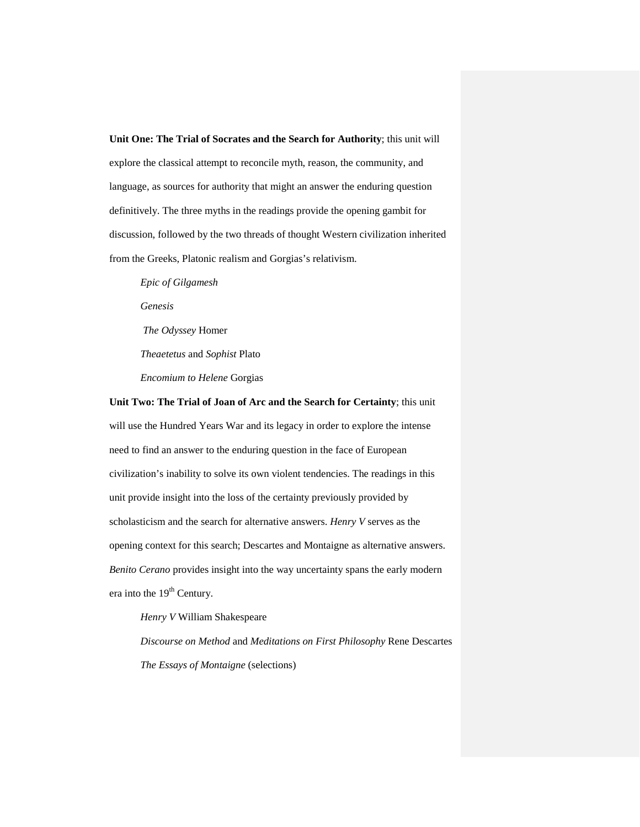**Unit One: The Trial of Socrates and the Search for Authority**; this unit will explore the classical attempt to reconcile myth, reason, the community, and language, as sources for authority that might an answer the enduring question definitively. The three myths in the readings provide the opening gambit for discussion, followed by the two threads of thought Western civilization inherited from the Greeks, Platonic realism and Gorgias's relativism.

*Epic of Gilgamesh Genesis The Odyssey* Homer *Theaetetus* and *Sophist* Plato *Encomium to Helene* Gorgias

**Unit Two: The Trial of Joan of Arc and the Search for Certainty**; this unit will use the Hundred Years War and its legacy in order to explore the intense need to find an answer to the enduring question in the face of European civilization's inability to solve its own violent tendencies. The readings in this unit provide insight into the loss of the certainty previously provided by scholasticism and the search for alternative answers. *Henry V* serves as the opening context for this search; Descartes and Montaigne as alternative answers. *Benito Cerano* provides insight into the way uncertainty spans the early modern era into the 19<sup>th</sup> Century.

*Henry V* William Shakespeare

*Discourse on Method* and *Meditations on First Philosophy* Rene Descartes *The Essays of Montaigne* (selections)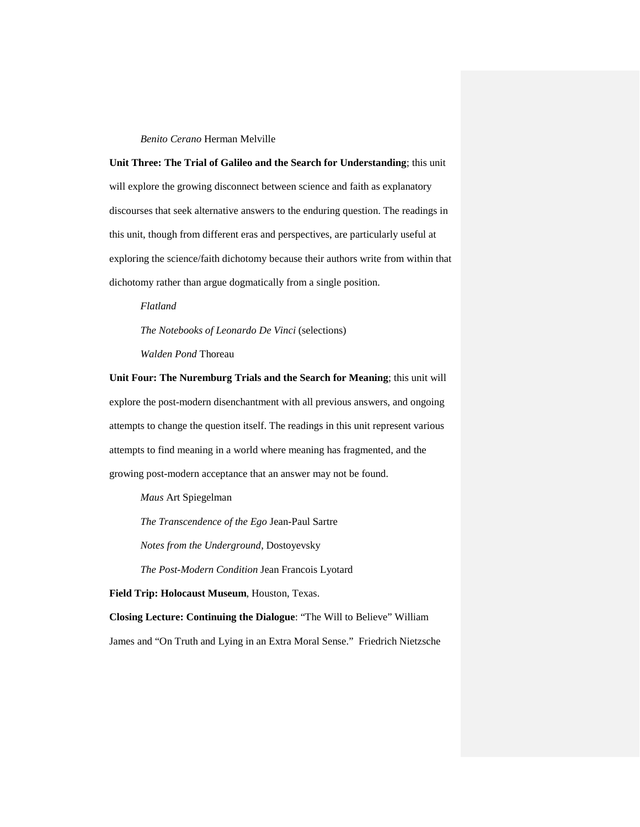## *Benito Cerano* Herman Melville

**Unit Three: The Trial of Galileo and the Search for Understanding**; this unit will explore the growing disconnect between science and faith as explanatory discourses that seek alternative answers to the enduring question. The readings in this unit, though from different eras and perspectives, are particularly useful at exploring the science/faith dichotomy because their authors write from within that dichotomy rather than argue dogmatically from a single position.

*Flatland The Notebooks of Leonardo De Vinci* (selections)

*Walden Pond* Thoreau

**Unit Four: The Nuremburg Trials and the Search for Meaning**; this unit will explore the post-modern disenchantment with all previous answers, and ongoing attempts to change the question itself. The readings in this unit represent various attempts to find meaning in a world where meaning has fragmented, and the growing post-modern acceptance that an answer may not be found.

*Maus* Art Spiegelman

*The Transcendence of the Ego* Jean-Paul Sartre

*Notes from the Underground*, Dostoyevsky

*The Post-Modern Condition* Jean Francois Lyotard

**Field Trip: Holocaust Museum**, Houston, Texas.

**Closing Lecture: Continuing the Dialogue**: "The Will to Believe" William James and "On Truth and Lying in an Extra Moral Sense." Friedrich Nietzsche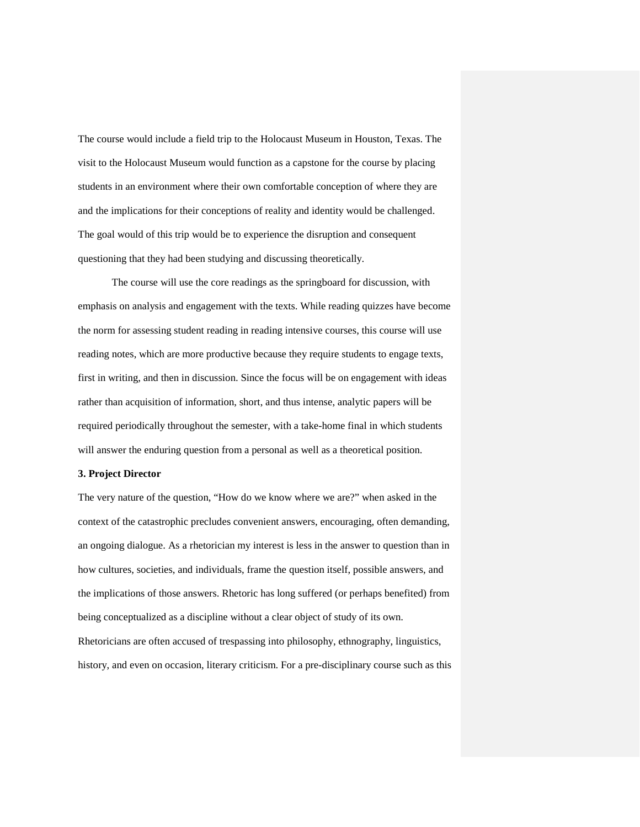The course would include a field trip to the Holocaust Museum in Houston, Texas. The visit to the Holocaust Museum would function as a capstone for the course by placing students in an environment where their own comfortable conception of where they are and the implications for their conceptions of reality and identity would be challenged. The goal would of this trip would be to experience the disruption and consequent questioning that they had been studying and discussing theoretically.

The course will use the core readings as the springboard for discussion, with emphasis on analysis and engagement with the texts. While reading quizzes have become the norm for assessing student reading in reading intensive courses, this course will use reading notes, which are more productive because they require students to engage texts, first in writing, and then in discussion. Since the focus will be on engagement with ideas rather than acquisition of information, short, and thus intense, analytic papers will be required periodically throughout the semester, with a take-home final in which students will answer the enduring question from a personal as well as a theoretical position.

## **3. Project Director**

The very nature of the question, "How do we know where we are?" when asked in the context of the catastrophic precludes convenient answers, encouraging, often demanding, an ongoing dialogue. As a rhetorician my interest is less in the answer to question than in how cultures, societies, and individuals, frame the question itself, possible answers, and the implications of those answers. Rhetoric has long suffered (or perhaps benefited) from being conceptualized as a discipline without a clear object of study of its own. Rhetoricians are often accused of trespassing into philosophy, ethnography, linguistics,

history, and even on occasion, literary criticism. For a pre-disciplinary course such as this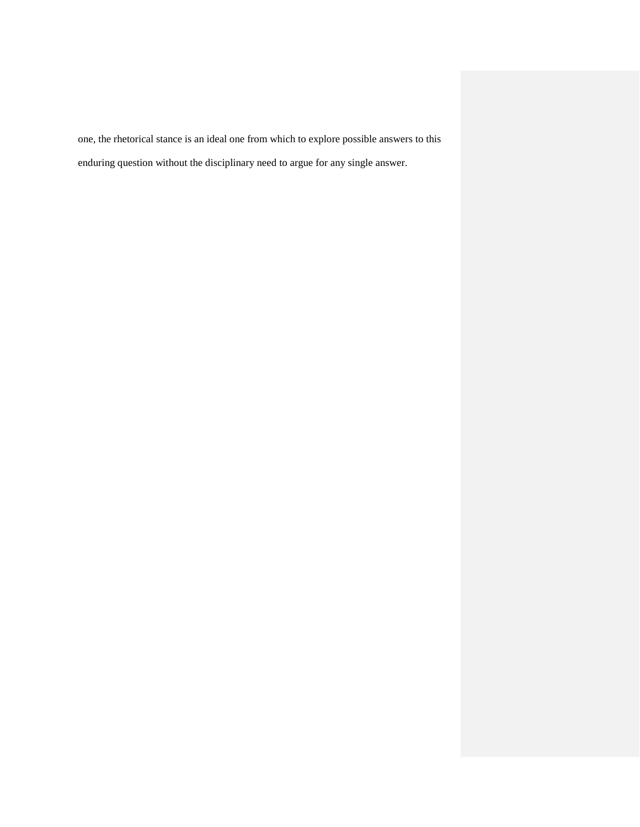one, the rhetorical stance is an ideal one from which to explore possible answers to this enduring question without the disciplinary need to argue for any single answer.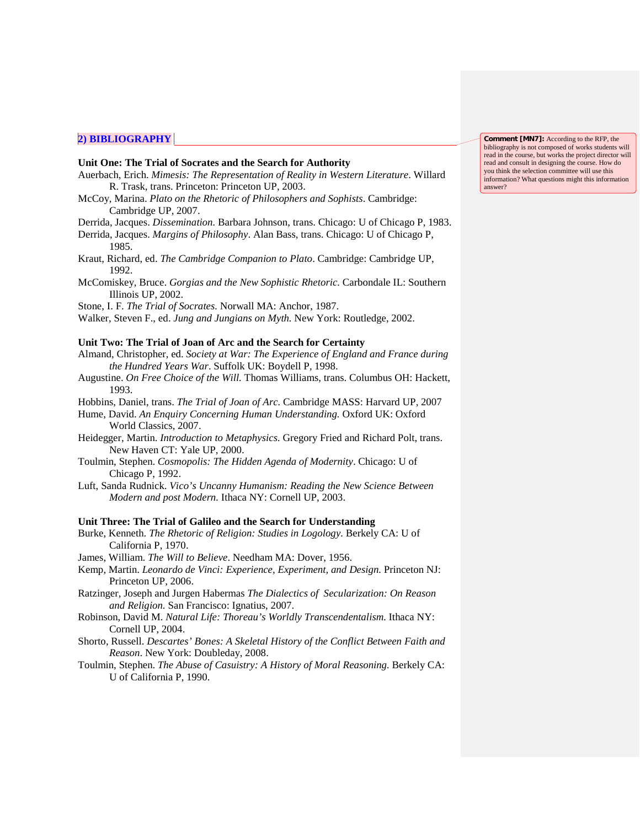## **2) BIBLIOGRAPHY**

### **Unit One: The Trial of Socrates and the Search for Authority**

- Auerbach, Erich. *Mimesis: The Representation of Reality in Western Literature*. Willard R. Trask, trans. Princeton: Princeton UP, 2003.
- McCoy, Marina. *Plato on the Rhetoric of Philosophers and Sophists*. Cambridge: Cambridge UP, 2007.
- Derrida, Jacques. *Dissemination.* Barbara Johnson, trans. Chicago: U of Chicago P, 1983.
- Derrida, Jacques. *Margins of Philosophy*. Alan Bass, trans. Chicago: U of Chicago P, 1985.
- Kraut, Richard, ed. *The Cambridge Companion to Plato*. Cambridge: Cambridge UP, 1992.
- McComiskey, Bruce. *Gorgias and the New Sophistic Rhetoric.* Carbondale IL: Southern Illinois UP, 2002.
- Stone, I. F. *The Trial of Socrates.* Norwall MA: Anchor, 1987.
- Walker, Steven F., ed. *Jung and Jungians on Myth.* New York: Routledge, 2002.

#### **Unit Two: The Trial of Joan of Arc and the Search for Certainty**

- Almand, Christopher, ed. *Society at War: The Experience of England and France during the Hundred Years War*. Suffolk UK: Boydell P, 1998.
- Augustine. *On Free Choice of the Will.* Thomas Williams, trans. Columbus OH: Hackett, 1993.
- Hobbins, Daniel, trans. *The Trial of Joan of Arc.* Cambridge MASS: Harvard UP, 2007
- Hume, David. *An Enquiry Concerning Human Understanding.* Oxford UK: Oxford World Classics, 2007.
- Heidegger, Martin. *Introduction to Metaphysics.* Gregory Fried and Richard Polt, trans. New Haven CT: Yale UP, 2000.
- Toulmin, Stephen. *Cosmopolis: The Hidden Agenda of Modernity*. Chicago: U of Chicago P, 1992.
- Luft, Sanda Rudnick. *Vico's Uncanny Humanism: Reading the New Science Between Modern and post Modern.* Ithaca NY: Cornell UP, 2003.

#### **Unit Three: The Trial of Galileo and the Search for Understanding**

- Burke, Kenneth. *The Rhetoric of Religion: Studies in Logology.* Berkely CA: U of California P, 1970.
- James, William. *The Will to Believe*. Needham MA: Dover, 1956.
- Kemp, Martin. *Leonardo de Vinci: Experience, Experiment, and Design.* Princeton NJ: Princeton UP, 2006.
- Ratzinger, Joseph and Jurgen Habermas *The Dialectics of Secularization: On Reason and Religion.* San Francisco: Ignatius, 2007.
- Robinson, David M. *Natural Life: Thoreau's Worldly Transcendentalism.* Ithaca NY: Cornell UP, 2004.
- Shorto, Russell. *Descartes' Bones: A Skeletal History of the Conflict Between Faith and Reason*. New York: Doubleday, 2008.
- Toulmin, Stephen. *The Abuse of Casuistry: A History of Moral Reasoning.* Berkely CA: U of California P, 1990.

**Comment [MN7]:** According to the RFP, the bibliography is not composed of works students will read in the course, but works the project director will read and consult in designing the course. How do you think the selection committee will use this information? What questions might this information answer?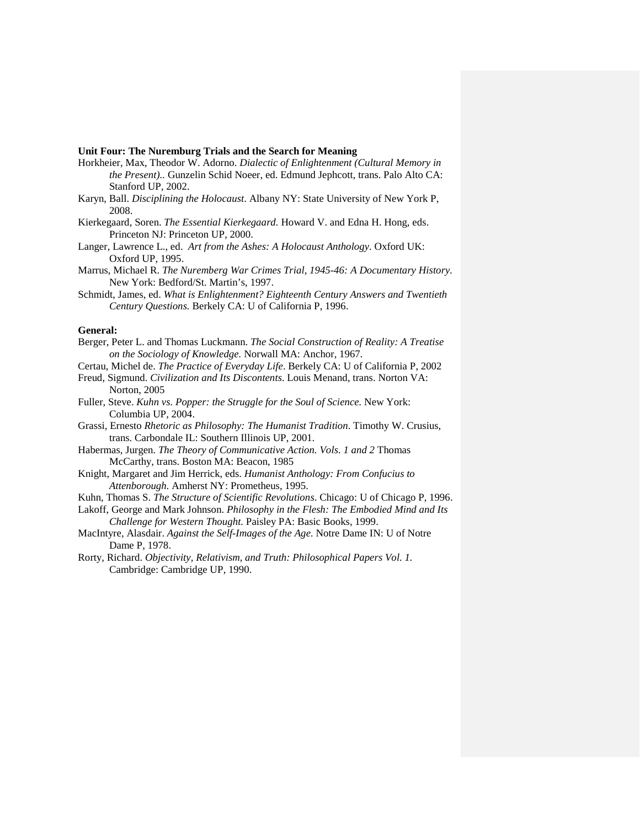#### **Unit Four: The Nuremburg Trials and the Search for Meaning**

- Horkheier, Max, Theodor W. Adorno. *Dialectic of Enlightenment (Cultural Memory in the Present)..* Gunzelin Schid Noeer, ed. Edmund Jephcott, trans. Palo Alto CA: Stanford UP, 2002.
- Karyn, Ball. *Disciplining the Holocaust*. Albany NY: State University of New York P, 2008.
- Kierkegaard, Soren. *The Essential Kierkegaard.* Howard V. and Edna H. Hong, eds. Princeton NJ: Princeton UP, 2000.
- Langer, Lawrence L., ed. *Art from the Ashes: A Holocaust Anthology.* Oxford UK: Oxford UP, 1995.
- Marrus, Michael R. *The Nuremberg War Crimes Trial, 1945-46: A Documentary History.*  New York: Bedford/St. Martin's, 1997.
- Schmidt, James, ed. *What is Enlightenment? Eighteenth Century Answers and Twentieth Century Questions.* Berkely CA: U of California P, 1996.

#### **General:**

- Berger, Peter L. and Thomas Luckmann. *The Social Construction of Reality: A Treatise on the Sociology of Knowledge.* Norwall MA: Anchor, 1967*.*
- Certau, Michel de. *The Practice of Everyday Life*. Berkely CA: U of California P, 2002
- Freud, Sigmund. *Civilization and Its Discontents*. Louis Menand, trans. Norton VA: Norton, 2005
- Fuller, Steve. *Kuhn vs. Popper: the Struggle for the Soul of Science.* New York: Columbia UP, 2004.
- Grassi, Ernesto *Rhetoric as Philosophy: The Humanist Tradition*. Timothy W. Crusius, trans. Carbondale IL: Southern Illinois UP, 2001*.*
- Habermas, Jurgen. *The Theory of Communicative Action. Vols. 1 and 2* Thomas McCarthy, trans. Boston MA: Beacon, 1985
- Knight, Margaret and Jim Herrick, eds. *Humanist Anthology: From Confucius to Attenborough.* Amherst NY: Prometheus, 1995.
- Kuhn, Thomas S. *The Structure of Scientific Revolutions*. Chicago: U of Chicago P, 1996.
- Lakoff, George and Mark Johnson. *Philosophy in the Flesh: The Embodied Mind and Its Challenge for Western Thought.* Paisley PA: Basic Books, 1999.
- MacIntyre, Alasdair. *Against the Self-Images of the Age.* Notre Dame IN: U of Notre Dame P, 1978.
- Rorty, Richard. *Objectivity, Relativism, and Truth: Philosophical Papers Vol. 1.* Cambridge: Cambridge UP, 1990.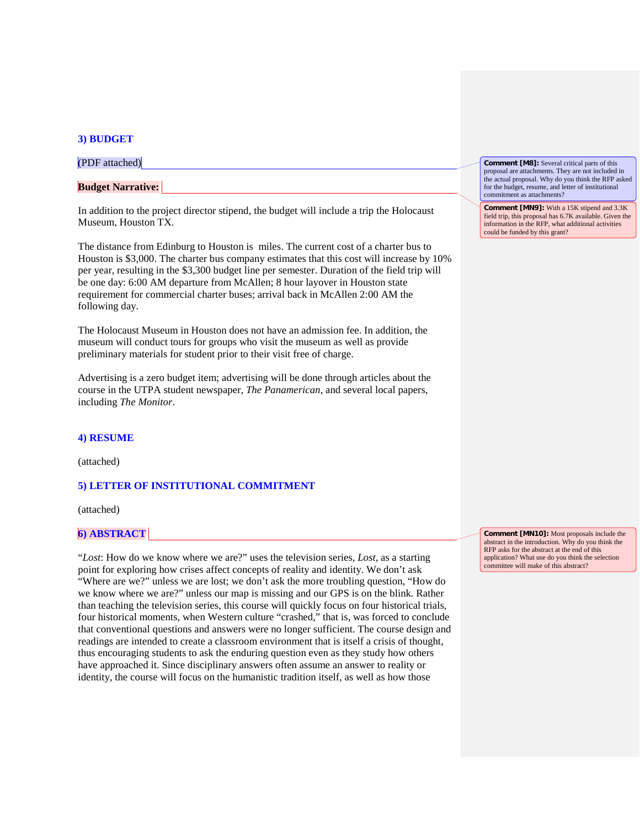#### **3) BUDGET**

(PDF attached)

## **Budget Narrative:**

In addition to the project director stipend, the budget will include a trip the Holocaust Museum, Houston TX.

The distance from Edinburg to Houston is miles. The current cost of a charter bus to Houston is \$3,000. The charter bus company estimates that this cost will increase by 10% per year, resulting in the \$3,300 budget line per semester. Duration of the field trip will be one day: 6:00 AM departure from McAllen; 8 hour layover in Houston state requirement for commercial charter buses; arrival back in McAllen 2:00 AM the following day.

The Holocaust Museum in Houston does not have an admission fee. In addition, the museum will conduct tours for groups who visit the museum as well as provide preliminary materials for student prior to their visit free of charge.

Advertising is a zero budget item; advertising will be done through articles about the course in the UTPA student newspaper, *The Panamerican*, and several local papers, including *The Monitor*.

#### **4) RESUME**

(attached)

## **5) LETTER OF INSTITUTIONAL COMMITMENT**

(attached)

## **6) ABSTRACT**

"*Lost*: How do we know where we are?" uses the television series, *Lost*, as a starting point for exploring how crises affect concepts of reality and identity. We don't ask "Where are we?" unless we are lost; we don't ask the more troubling question, "How do we know where we are?" unless our map is missing and our GPS is on the blink. Rather than teaching the television series, this course will quickly focus on four historical trials, four historical moments, when Western culture "crashed," that is, was forced to conclude that conventional questions and answers were no longer sufficient. The course design and readings are intended to create a classroom environment that is itself a crisis of thought, thus encouraging students to ask the enduring question even as they study how others have approached it. Since disciplinary answers often assume an answer to reality or identity, the course will focus on the humanistic tradition itself, as well as how those

**Comment [M8]:** Several critical parts of this proposal are attachments. They are not included in the actual proposal. Why do you think the RFP asked for the budget, resume, and letter of institutional commitment as attachments?

**Comment [MN9]:** With a 15K stipend and 3.3K field trip, this proposal has 6.7K available. Given the information in the RFP, what additional activities could be funded by this grant?

**Comment [MN10]:** Most proposals include the abstract in the introduction. Why do you think the RFP asks for the abstract at the end of this application? What use do you think the selection committee will make of this abstract?